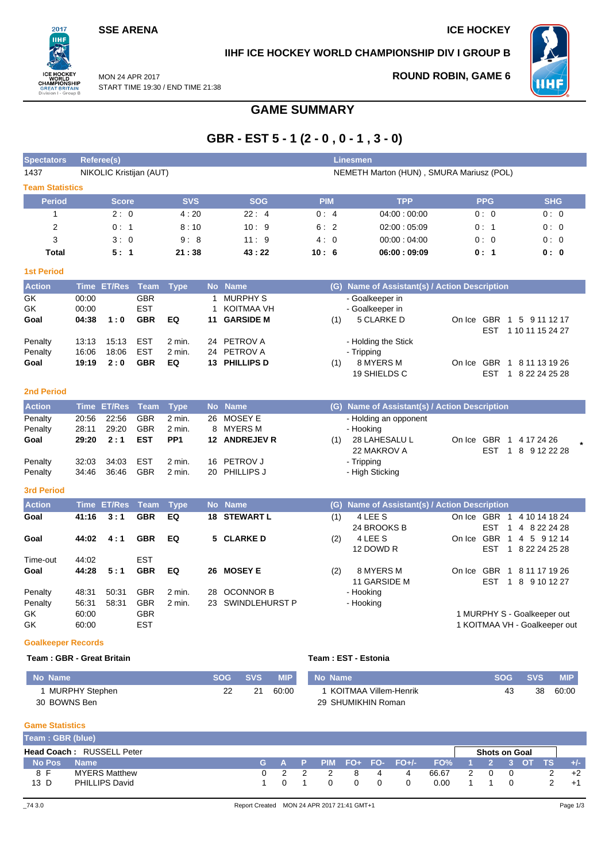### **SSE ARENA ICE HOCKEY**

 $2017$ пні

**PEAT** 

**IIHF ICE HOCKEY WORLD CHAMPIONSHIP DIV I GROUP B**

**ROUND ROBIN, GAME 6**



MON 24 APR 2017 START TIME 19:30 / END TIME 21:38

# **GAME SUMMARY**

# **GBR - EST 5 - 1 (2 - 0 , 0 - 1 , 3 - 0)**

| <b>Spectators</b>         |       | <b>Referee(s)</b>       |             |                 |              |                   |            |     | <b>Linesmen</b>                               |                               |                                   |
|---------------------------|-------|-------------------------|-------------|-----------------|--------------|-------------------|------------|-----|-----------------------------------------------|-------------------------------|-----------------------------------|
| 1437                      |       | NIKOLIC Kristijan (AUT) |             |                 |              |                   |            |     | NEMETH Marton (HUN), SMURA Mariusz (POL)      |                               |                                   |
| <b>Team Statistics</b>    |       |                         |             |                 |              |                   |            |     |                                               |                               |                                   |
| <b>Period</b>             |       | <b>Score</b>            |             | <b>SVS</b>      |              | <b>SOG</b>        | <b>PIM</b> |     | <b>TPP</b>                                    | <b>PPG</b>                    | <b>SHG</b>                        |
| 1                         |       | 2:0                     |             | 4:20            |              | 22:4              | 0:4        |     | 04:00:00:00                                   | 0:0                           | 0:0                               |
| $\overline{2}$            |       | 0:1                     |             | 8:10            |              | 10:9              | 6:2        |     | 02:00:05:09                                   | 0:1                           | 0:0                               |
| 3                         |       | 3:0                     |             | 9:8             |              | 11:9              | 4:0        |     | 00:00:04:00                                   | 0:0                           | 0:0                               |
| <b>Total</b>              |       | 5:1                     |             | 21:38           |              | 43:22             | 10:6       |     | 06:00:09:09                                   | 0: 1                          | 0:0                               |
| <b>1st Period</b>         |       |                         |             |                 |              |                   |            |     |                                               |                               |                                   |
| <b>Action</b>             |       | Time ET/Res Team        |             | <b>Type</b>     |              | No Name           |            |     | (G) Name of Assistant(s) / Action Description |                               |                                   |
| $\overline{GK}$           | 00:00 |                         | <b>GBR</b>  |                 | $\mathbf{1}$ | <b>MURPHY S</b>   |            |     | - Goalkeeper in                               |                               |                                   |
| GK                        | 00:00 |                         | <b>EST</b>  |                 | $\mathbf{1}$ | <b>KOITMAA VH</b> |            |     | - Goalkeeper in                               |                               |                                   |
| Goal                      | 04:38 | 1:0                     | <b>GBR</b>  | EQ              | 11           | <b>GARSIDE M</b>  |            | (1) | 5 CLARKE D                                    | On Ice GBR                    | 1 5 9 11 12 17                    |
|                           |       |                         |             |                 |              |                   |            |     |                                               | <b>EST</b>                    | 1 10 11 15 24 27                  |
| Penalty                   | 13:13 | 15:13                   | <b>EST</b>  | 2 min.          | 24           | PETROV A          |            |     | - Holding the Stick                           |                               |                                   |
| Penalty                   | 16:06 | 18:06                   | <b>EST</b>  | 2 min.          | 24           | PETROV A          |            |     | - Tripping                                    |                               |                                   |
| Goal                      | 19:19 | 2:0                     | <b>GBR</b>  | EQ              |              | 13 PHILLIPS D     |            | (1) | 8 MYERS M                                     | On Ice GBR                    | 1 8 11 13 19 26                   |
|                           |       |                         |             |                 |              |                   |            |     | 19 SHIELDS C                                  | EST                           | 1 8 22 24 25 28                   |
| <b>2nd Period</b>         |       |                         |             |                 |              |                   |            |     |                                               |                               |                                   |
| <b>Action</b>             |       | Time ET/Res             | <b>Team</b> | <b>Type</b>     | <b>No</b>    | <b>Name</b>       |            |     | (G) Name of Assistant(s) / Action Description |                               |                                   |
| Penalty                   | 20:56 | 22:56                   | <b>GBR</b>  | 2 min.          |              | 26 MOSEY E        |            |     | - Holding an opponent                         |                               |                                   |
| Penalty                   | 28:11 | 29:20                   | <b>GBR</b>  | 2 min.          |              | 8 MYERS M         |            |     | - Hooking                                     |                               |                                   |
| Goal                      | 29:20 | 2:1                     | <b>EST</b>  | PP <sub>1</sub> |              | 12 ANDREJEV R     |            | (1) | 28 LAHESALU L                                 | On Ice GBR                    | 1 4 17 24 26                      |
|                           |       |                         |             |                 |              |                   |            |     | 22 MAKROV A                                   | <b>EST</b><br>1               | 8 9 12 22 28                      |
| Penalty                   | 32:03 | 34:03                   | <b>EST</b>  | 2 min.          | 16           | PETROV J          |            |     | - Tripping                                    |                               |                                   |
| Penalty                   | 34:46 | 36:46                   | <b>GBR</b>  | 2 min.          |              | 20 PHILLIPS J     |            |     | - High Sticking                               |                               |                                   |
| <b>3rd Period</b>         |       |                         |             |                 |              |                   |            |     |                                               |                               |                                   |
| <b>Action</b>             |       | <b>Time ET/Res</b>      | <b>Team</b> | <b>Type</b>     |              | No Name           |            |     | (G) Name of Assistant(s) / Action Description |                               |                                   |
| Goal                      | 41:16 | 3:1                     | <b>GBR</b>  | EQ              | 18           | <b>STEWART L</b>  |            | (1) | 4 LEE S                                       | On Ice GBR 1                  | 4 10 14 18 24                     |
|                           |       |                         |             |                 |              |                   |            |     | 24 BROOKS B                                   | <b>EST</b><br>$\mathbf{1}$    | 4 8 22 24 28                      |
| Goal                      | 44:02 | 4:1                     | <b>GBR</b>  | EQ              |              | 5 CLARKE D        |            | (2) | 4 LEE S                                       | On Ice GBR                    | 1 4 5 9 12 14                     |
|                           |       |                         |             |                 |              |                   |            |     | 12 DOWD R                                     | <b>EST</b>                    | 1 8 22 24 25 28                   |
| Time-out                  | 44:02 |                         | <b>EST</b>  |                 |              |                   |            |     |                                               |                               |                                   |
| Goal                      | 44:28 | 5:1                     | <b>GBR</b>  | EQ              |              | 26 MOSEY E        |            | (2) | 8 MYERS M<br>11 GARSIDE M                     | On Ice GBR<br><b>EST</b>      | 1 8 11 17 19 26<br>1 8 9 10 12 27 |
| Penalty                   | 48:31 | 50:31                   | <b>GBR</b>  | 2 min.          | 28           | <b>OCONNOR B</b>  |            |     | - Hooking                                     |                               |                                   |
| Penalty                   | 56:31 | 58:31                   | <b>GBR</b>  | 2 min.          | 23           | SWINDLEHURST P    |            |     | - Hooking                                     |                               |                                   |
| GK                        | 60:00 |                         | <b>GBR</b>  |                 |              |                   |            |     |                                               | 1 MURPHY S - Goalkeeper out   |                                   |
| GK                        | 60:00 |                         | <b>EST</b>  |                 |              |                   |            |     |                                               | 1 KOITMAA VH - Goalkeeper out |                                   |
|                           |       |                         |             |                 |              |                   |            |     |                                               |                               |                                   |
| <b>Goalkeeper Records</b> |       |                         |             |                 |              |                   |            |     |                                               |                               |                                   |

### **Team : GBR - Great Britain Team : EST - Estonia**

| No Name        | <b>SOG</b> | <b>SVS</b> | <b>MIP</b> | No Name                 | <b>SOG</b> | <b>SVS</b> | <b>MIP</b> |
|----------------|------------|------------|------------|-------------------------|------------|------------|------------|
| MURPHY Stephen |            | 21         | 60:00      | I KOITMAA Villem-Henrik | 43         | 38         | 60:00      |
| 30 BOWNS Ben   |            |            |            | 29 SHUMIKHIN Roman      |            |            |            |

### **Game Statistics**

| Team: GBR (blue) |                                  |  |  |          |          |   |                                           |               |                      |  |       |
|------------------|----------------------------------|--|--|----------|----------|---|-------------------------------------------|---------------|----------------------|--|-------|
|                  | <b>Head Coach: RUSSELL Peter</b> |  |  |          |          |   |                                           |               | <b>Shots on Goal</b> |  |       |
| No Pos           | <b>Name</b>                      |  |  |          |          |   | (G) A P PIM FO+ FO- FO+/- FO% 1 2 3 OT TS |               |                      |  | $+/-$ |
| 8 F              | <b>MYERS Matthew</b>             |  |  | 8        | 4        | 4 | 66.67                                     | $\mathcal{L}$ |                      |  | $+2$  |
| 13 D             | PHILLIPS David                   |  |  | $\Omega$ | $\Omega$ |   | 0.00                                      |               |                      |  |       |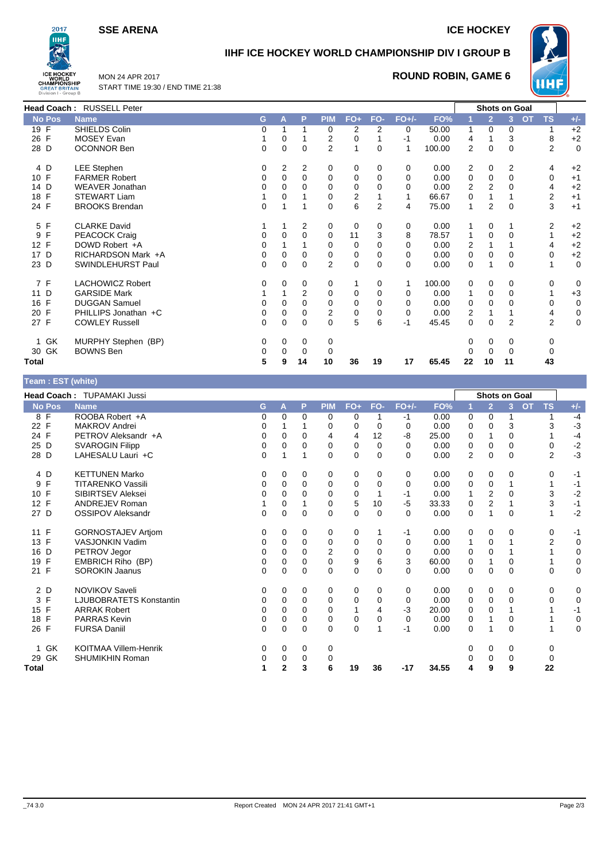**SSE ARENA ICE HOCKEY** 



## **IIHF ICE HOCKEY WORLD CHAMPIONSHIP DIV I GROUP B**



MON 24 APR 2017 START TIME 19:30 / END TIME 21:38

### **ROUND ROBIN, GAME 6**

|                   | Head Coach: RUSSELL Peter |          |   |                |                |          |                |             |        |                | Shots on Goal  |                |           |                |             |
|-------------------|---------------------------|----------|---|----------------|----------------|----------|----------------|-------------|--------|----------------|----------------|----------------|-----------|----------------|-------------|
| <b>No Pos</b>     | <b>Name</b>               | G        | A | P              | <b>PIM</b>     | $FO+$    | FO-            | $FO+/-$     | FO%    |                | $\overline{2}$ | 3              | <b>OT</b> | <b>TS</b>      | $+/-$       |
| 19 $\overline{F}$ | SHIELDS Colin             | $\Omega$ |   | 1              | 0              | 2        | 2              | 0           | 50.00  | 1              | 0              | $\Omega$       |           | 1              | $+2$        |
| 26 F              | <b>MOSEY Evan</b>         |          | 0 |                | 2              | 0        |                | $-1$        | 0.00   | 4              |                | 3              |           | 8              | $+2$        |
| 28 D              | <b>OCONNOR Ben</b>        | 0        | 0 | 0              | $\overline{2}$ |          | 0              | 1           | 100.00 | $\overline{2}$ | 0              | $\mathbf 0$    |           | $\overline{2}$ | $\mathbf 0$ |
| 4 D               | LEE Stephen               | 0        | 2 | 2              | 0              | 0        | 0              | 0           | 0.00   | 2              | 0              | 2              |           | 4              | $+2$        |
| 10 F              | <b>FARMER Robert</b>      | 0        | 0 | 0              | 0              | 0        | 0              | 0           | 0.00   | 0              | 0              | $\Omega$       |           | 0              | $+1$        |
| 14 D              | <b>WEAVER Jonathan</b>    |          |   | 0              | 0              | 0        | 0              | $\Omega$    | 0.00   | $\overline{2}$ | 2              | 0              |           | 4              | $+2$        |
| 18 F              | <b>STEWART Liam</b>       |          | 0 |                | 0              | 2        |                |             | 66.67  | 0              |                |                |           | 2              | $+1$        |
| 24 F              | <b>BROOKS Brendan</b>     | $\Omega$ |   | 1              | $\Omega$       | 6        | $\overline{2}$ | 4           | 75.00  | 1              | 2              | $\Omega$       |           | 3              | $+1$        |
| 5 F               | <b>CLARKE David</b>       |          |   | 2              | 0              | 0        | 0              | 0           | 0.00   |                | 0              | 1              |           | 2              | $+2$        |
| 9 F               | PEACOCK Craig             | 0        | 0 | 0              | 0              | 11       | 3              | 8           | 78.57  | 1              | 0              | $\Omega$       |           |                | $+2$        |
| 12 F              | DOWD Robert +A            | 0        |   |                | 0              | $\Omega$ | 0              | $\Omega$    | 0.00   | 2              |                |                |           | 4              | $+2$        |
| 17 D              | RICHARDSON Mark +A        |          | 0 | 0              | 0              | 0        | 0              | $\Omega$    | 0.00   | 0              | 0              | 0              |           | 0              | $+2$        |
| 23 D              | SWINDLEHURST Paul         | 0        | 0 | 0              | $\overline{2}$ | 0        | 0              | 0           | 0.00   | 0              | 1              | 0              |           | 1              | 0           |
| 7 F               | <b>LACHOWICZ Robert</b>   | $\Omega$ | 0 | 0              | 0              |          | 0              |             | 100.00 | 0              | 0              | 0              |           | 0              | 0           |
| 11 D              | <b>GARSIDE Mark</b>       |          |   | $\overline{2}$ | $\Omega$       | 0        | 0              | $\Omega$    | 0.00   | 1              | 0              | $\Omega$       |           |                | $+3$        |
| 16 F              | <b>DUGGAN Samuel</b>      |          | 0 | 0              | 0              | 0        | 0              | 0           | 0.00   | 0              | 0              | $\Omega$       |           | 0              | 0           |
| 20 F              | PHILLIPS Jonathan +C      | 0        | 0 | 0              | 2              | 0        | 0              | $\mathbf 0$ | 0.00   | 2              |                |                |           | 4              | 0           |
| 27 F              | <b>COWLEY Russell</b>     | 0        | 0 | $\Omega$       | $\Omega$       | 5        | 6              | $-1$        | 45.45  | 0              | 0              | $\overline{2}$ |           | $\overline{2}$ | 0           |
| 1 GK              | MURPHY Stephen (BP)       | $\Omega$ | 0 | 0              | 0              |          |                |             |        | 0              | 0              | 0              |           | 0              |             |
| 30 GK             | <b>BOWNS Ben</b>          |          | 0 | 0              | 0              |          |                |             |        | 0              | 0              | 0              |           | 0              |             |
| Total             |                           | 5        | 9 | 14             | 10             | 36       | 19             | 17          | 65.45  | 22             | 10             | 11             |           | 43             |             |

| Team : EST (white) |                                |   |              |          |                |             |          |          |       |          |                |                      |           |           |              |
|--------------------|--------------------------------|---|--------------|----------|----------------|-------------|----------|----------|-------|----------|----------------|----------------------|-----------|-----------|--------------|
|                    | Head Coach: TUPAMAKI Jussi     |   |              |          |                |             |          |          |       |          |                | <b>Shots on Goal</b> |           |           |              |
| <b>No Pos</b>      | <b>Name</b>                    | G | A            | P        | <b>PIM</b>     | $FO+$       | FO-      | $FO+/-$  | FO%   |          | $\overline{2}$ | 3 <sup>2</sup>       | <b>OT</b> | <b>TS</b> | $+/-$        |
| 8 F                | ROOBA Robert +A                | 0 | 0            | $\Omega$ | 0              | 0           |          | -1       | 0.00  | 0        | $\mathbf 0$    |                      |           |           | $-4$         |
| $\mathsf{F}$<br>22 | <b>MAKROV Andrei</b>           | 0 |              |          | 0              | 0           | 0        | $\Omega$ | 0.00  | $\Omega$ | $\Omega$       | 3                    |           | 3         | $-3$         |
| 24 F               | PETROV Aleksandr +A            | 0 | 0            | 0        | 4              | 4           | 12       | -8       | 25.00 | 0        | 1              | 0                    |           |           | $-4$         |
| 25 D               | <b>SVAROGIN Filipp</b>         | 0 | 0            | 0        | $\Omega$       | 0           | 0        | $\Omega$ | 0.00  | 0        | $\Omega$       | 0                    |           | 0         | $-2$<br>$-3$ |
| 28 D               | LAHESALU Lauri +C              | 0 |              |          | $\Omega$       | $\mathbf 0$ | 0        | $\Omega$ | 0.00  | 2        | $\Omega$       | $\Omega$             |           | 2         |              |
| 4 D                | <b>KETTUNEN Marko</b>          | 0 | 0            | 0        | 0              | 0           | 0        | 0        | 0.00  | 0        | $\mathbf 0$    | 0                    |           | 0         | $-1$         |
| F<br>9             | <b>TITARENKO Vassili</b>       | 0 | 0            | 0        | 0              | 0           | 0        | 0        | 0.00  | 0        | 0              |                      |           |           | $-1$         |
| 10 F               | <b>SIBIRTSEV Aleksei</b>       | 0 | $\Omega$     | 0        | $\Omega$       | 0           |          | -1       | 0.00  |          | $\overline{2}$ | 0                    |           | 3         | $-2$         |
| 12 F               | <b>ANDREJEV Roman</b>          |   | 0            |          | 0              | 5           | 10       | $-5$     | 33.33 | 0        | $\overline{2}$ |                      |           | 3         | $-1$         |
| 27 D               | <b>OSSIPOV Aleksandr</b>       | 0 | $\mathbf 0$  | $\Omega$ | $\Omega$       | $\mathbf 0$ | $\Omega$ | $\Omega$ | 0.00  | 0        | 1              | $\Omega$             |           |           | $-2$         |
| 11 F               | <b>GORNOSTAJEV Artiom</b>      | 0 | $\Omega$     | 0        | 0              | 0           |          | $-1$     | 0.00  | 0        | 0              | 0                    |           | 0         | $-1$         |
| 13 F               | <b>VASJONKIN Vadim</b>         | 0 | 0            | 0        | 0              | 0           | 0        | 0        | 0.00  | 1        | 0              |                      |           | 2         | $\mathbf 0$  |
| D<br>16            | PETROV Jegor                   | 0 | 0            | $\Omega$ | $\overline{2}$ | 0           | 0        | 0        | 0.00  | 0        | 0              |                      |           |           | 0            |
| $\mathsf{F}$<br>19 | EMBRICH Riho (BP)              | 0 | $\Omega$     | $\Omega$ | $\Omega$       | 9           | 6        | 3        | 60.00 | 0        | 1              | $\Omega$             |           |           | $\pmb{0}$    |
| 21 F               | <b>SOROKIN Jaanus</b>          | 0 | 0            | 0        | $\Omega$       | 0           | 0        | $\Omega$ | 0.00  | 0        | 0              | $\Omega$             |           | 0         | 0            |
| 2 D                | <b>NOVIKOV Saveli</b>          | 0 | 0            | 0        | 0              | 0           | 0        | 0        | 0.00  | 0        | 0              | 0                    |           | 0         | 0            |
| F<br>3             | <b>LJUBOBRATETS Konstantin</b> | 0 | 0            | $\Omega$ | 0              | 0           | 0        | $\Omega$ | 0.00  | 0        | $\Omega$       | $\Omega$             |           | 0         | $\mathbf 0$  |
| F<br>15            | <b>ARRAK Robert</b>            | 0 | 0            | 0        | 0              |             | 4        | $-3$     | 20.00 | 0        | 0              |                      |           |           | $-1$         |
| F<br>18            | <b>PARRAS Kevin</b>            | 0 | 0            | 0        | 0              | $\mathbf 0$ | 0        | 0        | 0.00  | 0        |                | $\mathbf 0$          |           |           | $\mathbf 0$  |
| 26 F               | <b>FURSA Daniil</b>            | 0 | 0            | 0        | 0              | $\mathbf 0$ | 1        | -1       | 0.00  | 0        | 1              | 0                    |           |           | $\mathbf 0$  |
| 1 GK               | <b>KOITMAA Villem-Henrik</b>   | 0 | 0            | 0        | 0              |             |          |          |       | 0        | 0              | 0                    |           | 0         |              |
| GK<br>29           | <b>SHUMIKHIN Roman</b>         | 0 | 0            | 0        | 0              |             |          |          |       | ი        | 0              | 0                    |           | 0         |              |
| Total              |                                |   | $\mathbf{2}$ | 3        | 6              | 19          | 36       | $-17$    | 34.55 | 4        | 9              | 9                    |           | 22        |              |